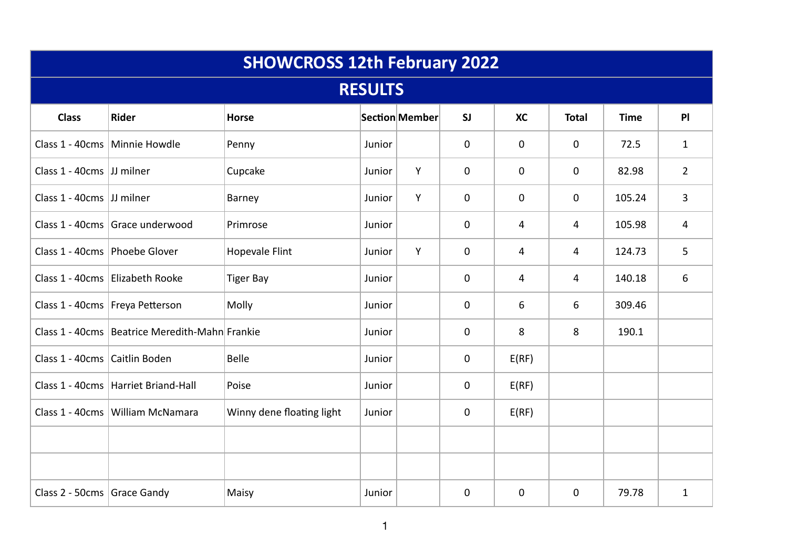| <b>SHOWCROSS 12th February 2022</b> |                                                  |                           |        |                |             |             |              |             |                |  |
|-------------------------------------|--------------------------------------------------|---------------------------|--------|----------------|-------------|-------------|--------------|-------------|----------------|--|
| <b>RESULTS</b>                      |                                                  |                           |        |                |             |             |              |             |                |  |
| <b>Class</b>                        | <b>Rider</b>                                     | <b>Horse</b>              |        | Section Member | SI          | <b>XC</b>   | <b>Total</b> | <b>Time</b> | P              |  |
|                                     | Class 1 - 40cms   Minnie Howdle                  | Penny                     | Junior |                | $\mathbf 0$ | $\mathbf 0$ | $\mathbf{0}$ | 72.5        | $\mathbf{1}$   |  |
| Class 1 - 40cms JJ milner           |                                                  | Cupcake                   | Junior | Y              | $\mathbf 0$ | $\mathbf 0$ | $\mathbf 0$  | 82.98       | $\overline{2}$ |  |
| Class 1 - 40cms JJ milner           |                                                  | Barney                    | Junior | Y              | $\mathbf 0$ | $\mathbf 0$ | $\mathbf 0$  | 105.24      | 3              |  |
|                                     | Class 1 - 40cms Grace underwood                  | Primrose                  | Junior |                | 0           | 4           | 4            | 105.98      | $\overline{4}$ |  |
| Class 1 - 40cms   Phoebe Glover     |                                                  | <b>Hopevale Flint</b>     | Junior | Y              | 0           | 4           | 4            | 124.73      | 5              |  |
|                                     | Class 1 - 40cms Elizabeth Rooke                  | <b>Tiger Bay</b>          | Junior |                | 0           | 4           | 4            | 140.18      | 6              |  |
|                                     | Class 1 - 40cms   Freya Petterson                | Molly                     | Junior |                | 0           | 6           | 6            | 309.46      |                |  |
|                                     | Class 1 - 40cms   Beatrice Meredith-Mahn Frankie |                           | Junior |                | $\mathbf 0$ | 8           | 8            | 190.1       |                |  |
| Class 1 - 40cms Caitlin Boden       |                                                  | <b>Belle</b>              | Junior |                | 0           | E(RF)       |              |             |                |  |
|                                     | Class 1 - 40cms   Harriet Briand-Hall            | Poise                     | Junior |                | 0           | E(RF)       |              |             |                |  |
|                                     | Class 1 - 40cms   William McNamara               | Winny dene floating light | Junior |                | 0           | E(RF)       |              |             |                |  |
|                                     |                                                  |                           |        |                |             |             |              |             |                |  |
|                                     |                                                  |                           |        |                |             |             |              |             |                |  |
| Class 2 - 50cms Grace Gandy         |                                                  | Maisy                     | Junior |                | $\mathbf 0$ | $\mathbf 0$ | $\mathbf{0}$ | 79.78       | $\mathbf{1}$   |  |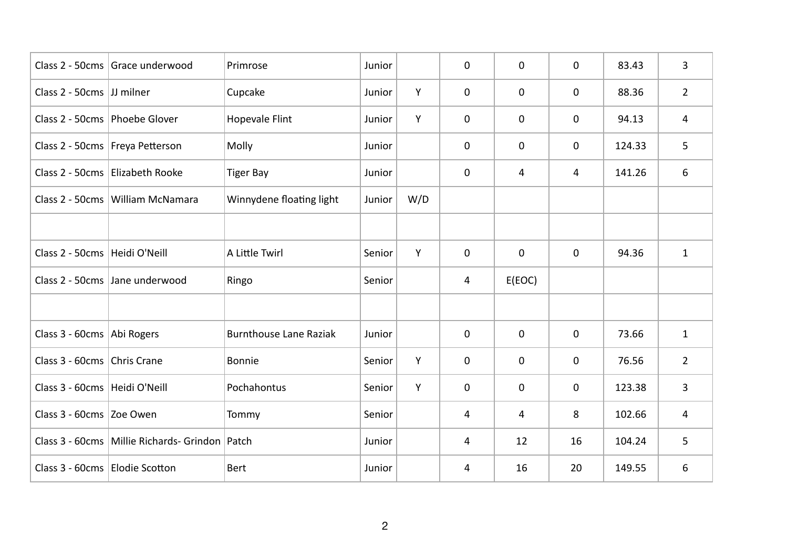|                                 | Class 2 - 50cms   Grace underwood              | Primrose                      | Junior |     | 0           | $\mathbf 0$ | $\mathbf 0$  | 83.43  | $\overline{3}$ |
|---------------------------------|------------------------------------------------|-------------------------------|--------|-----|-------------|-------------|--------------|--------|----------------|
| Class 2 - 50cms JJ milner       |                                                | Cupcake                       | Junior | Y   | 0           | $\mathbf 0$ | $\mathbf 0$  | 88.36  | $\overline{2}$ |
| Class 2 - 50cms   Phoebe Glover |                                                | <b>Hopevale Flint</b>         | Junior | Y   | $\mathbf 0$ | $\mathbf 0$ | $\mathbf 0$  | 94.13  | 4              |
|                                 | Class 2 - 50cms   Freya Petterson              | Molly                         | Junior |     | 0           | $\mathbf 0$ | $\mathbf 0$  | 124.33 | 5              |
|                                 | Class 2 - 50cms Elizabeth Rooke                | <b>Tiger Bay</b>              | Junior |     | $\mathbf 0$ | 4           | 4            | 141.26 | 6              |
|                                 | Class 2 - 50cms   William McNamara             | Winnydene floating light      | Junior | W/D |             |             |              |        |                |
|                                 |                                                |                               |        |     |             |             |              |        |                |
| Class 2 - 50cms   Heidi O'Neill |                                                | A Little Twirl                | Senior | Y   | $\mathbf 0$ | $\mathbf 0$ | $\mathbf 0$  | 94.36  | $\mathbf{1}$   |
|                                 | Class 2 - 50cms Jane underwood                 | Ringo                         | Senior |     | 4           | E(EOC)      |              |        |                |
|                                 |                                                |                               |        |     |             |             |              |        |                |
| Class 3 - 60cms Abi Rogers      |                                                | <b>Burnthouse Lane Raziak</b> | Junior |     | $\mathbf 0$ | $\mathbf 0$ | $\mathbf{0}$ | 73.66  | $\mathbf{1}$   |
| Class 3 - 60cms Chris Crane     |                                                | Bonnie                        | Senior | Y   | 0           | $\mathbf 0$ | $\mathbf 0$  | 76.56  | $\overline{2}$ |
| Class 3 - 60cms   Heidi O'Neill |                                                | Pochahontus                   | Senior | Y   | 0           | $\mathbf 0$ | $\mathbf 0$  | 123.38 | 3              |
| Class 3 - 60cms Zoe Owen        |                                                | Tommy                         | Senior |     | 4           | 4           | 8            | 102.66 | 4              |
|                                 | Class 3 - 60cms Millie Richards- Grindon Patch |                               | Junior |     | 4           | 12          | 16           | 104.24 | 5              |
| Class 3 - 60cms Elodie Scotton  |                                                | <b>Bert</b>                   | Junior |     | 4           | 16          | 20           | 149.55 | 6              |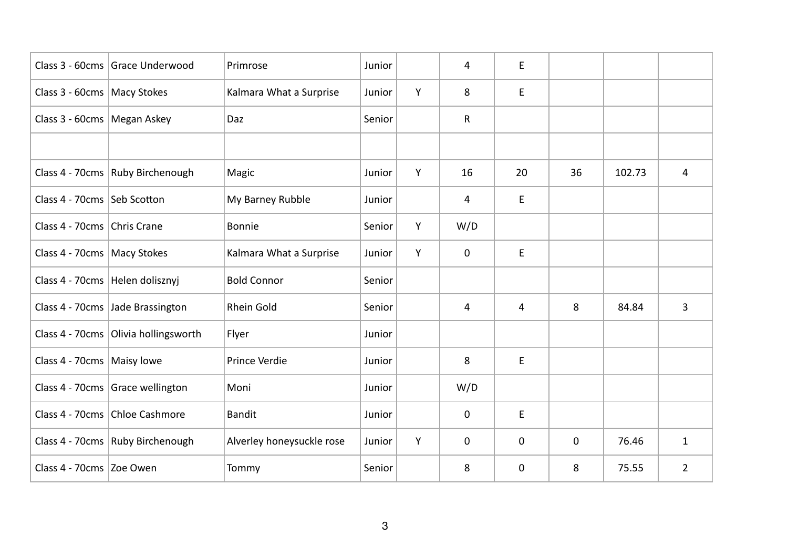|                               | Class 3 - 60cms Grace Underwood        | Primrose                  | Junior |   | 4           | E           |             |        |                |
|-------------------------------|----------------------------------------|---------------------------|--------|---|-------------|-------------|-------------|--------|----------------|
| Class 3 - 60cms   Macy Stokes |                                        | Kalmara What a Surprise   | Junior | Y | 8           | E           |             |        |                |
| Class 3 - 60cms   Megan Askey |                                        | Daz                       | Senior |   | R           |             |             |        |                |
|                               |                                        |                           |        |   |             |             |             |        |                |
|                               | Class 4 - 70cms   Ruby Birchenough     | Magic                     | Junior | Y | 16          | 20          | 36          | 102.73 | 4              |
| Class 4 - 70cms Seb Scotton   |                                        | My Barney Rubble          | Junior |   | 4           | E           |             |        |                |
| Class 4 - 70cms Chris Crane   |                                        | Bonnie                    | Senior | Y | W/D         |             |             |        |                |
| Class 4 - 70cms   Macy Stokes |                                        | Kalmara What a Surprise   | Junior | Y | $\mathbf 0$ | E           |             |        |                |
|                               | Class 4 - 70cms   Helen dolisznyj      | <b>Bold Connor</b>        | Senior |   |             |             |             |        |                |
|                               | Class 4 - 70cms Jade Brassington       | Rhein Gold                | Senior |   | 4           | 4           | 8           | 84.84  | $\overline{3}$ |
|                               | Class 4 - 70cms   Olivia hollingsworth | Flyer                     | Junior |   |             |             |             |        |                |
| Class 4 - 70cms   Maisy lowe  |                                        | Prince Verdie             | Junior |   | 8           | E           |             |        |                |
|                               | Class 4 - 70cms Grace wellington       | Moni                      | Junior |   | W/D         |             |             |        |                |
|                               | Class 4 - 70cms Chloe Cashmore         | <b>Bandit</b>             | Junior |   | $\mathbf 0$ | E           |             |        |                |
|                               | Class 4 - 70cms   Ruby Birchenough     | Alverley honeysuckle rose | Junior | Y | $\mathbf 0$ | $\pmb{0}$   | $\mathbf 0$ | 76.46  | $\mathbf{1}$   |
| Class 4 - 70cms Zoe Owen      |                                        | Tommy                     | Senior |   | 8           | $\mathbf 0$ | 8           | 75.55  | $\overline{2}$ |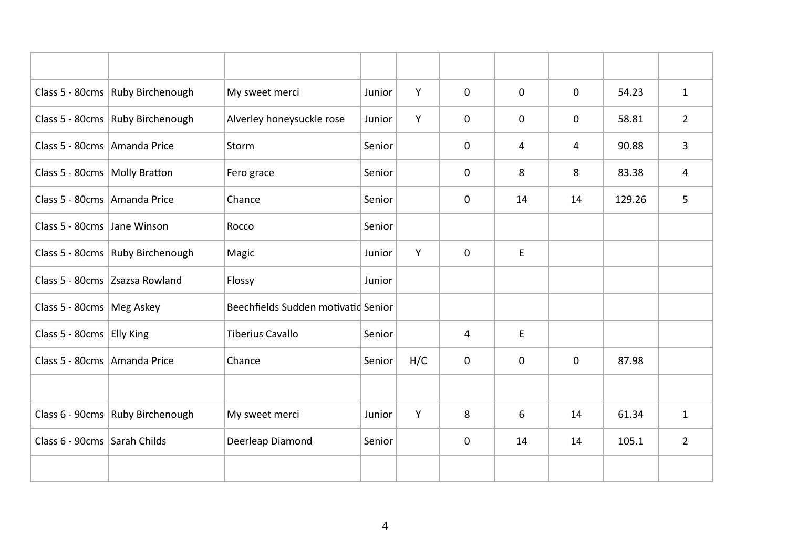|                                 | Class 5 - 80cms Ruby Birchenough   | My sweet merci                      | Junior | Y   | $\mathbf{0}$ | $\mathbf{0}$ | $\mathbf{0}$ | 54.23  | $\mathbf{1}$   |
|---------------------------------|------------------------------------|-------------------------------------|--------|-----|--------------|--------------|--------------|--------|----------------|
|                                 | Class 5 - 80cms   Ruby Birchenough | Alverley honeysuckle rose           | Junior | Y   | $\mathbf 0$  | $\mathbf 0$  | $\mathbf 0$  | 58.81  | $\overline{2}$ |
| Class 5 - 80cms Amanda Price    |                                    | Storm                               | Senior |     | 0            | 4            | 4            | 90.88  | 3              |
| Class 5 - 80cms   Molly Bratton |                                    | Fero grace                          | Senior |     | $\mathbf 0$  | 8            | 8            | 83.38  | $\overline{4}$ |
| Class 5 - 80cms   Amanda Price  |                                    | Chance                              | Senior |     | $\mathbf 0$  | 14           | 14           | 129.26 | $5\phantom{.}$ |
| Class 5 - 80cms Jane Winson     |                                    | Rocco                               | Senior |     |              |              |              |        |                |
|                                 | Class 5 - 80cms   Ruby Birchenough | Magic                               | Junior | Y   | $\mathbf 0$  | E            |              |        |                |
|                                 | Class 5 - 80cms Zsazsa Rowland     | Flossy                              | Junior |     |              |              |              |        |                |
| Class 5 - 80cms   Meg Askey     |                                    | Beechfields Sudden motivatid Senior |        |     |              |              |              |        |                |
| Class 5 - 80cms Elly King       |                                    | <b>Tiberius Cavallo</b>             | Senior |     | 4            | E            |              |        |                |
| Class 5 - 80cms Amanda Price    |                                    | Chance                              | Senior | H/C | $\mathbf 0$  | $\mathbf 0$  | $\mathbf 0$  | 87.98  |                |
|                                 |                                    |                                     |        |     |              |              |              |        |                |
|                                 | Class 6 - 90cms Ruby Birchenough   | My sweet merci                      | Junior | Y   | 8            | 6            | 14           | 61.34  | $\mathbf{1}$   |
| Class 6 - 90cms Sarah Childs    |                                    | Deerleap Diamond                    | Senior |     | $\mathbf 0$  | 14           | 14           | 105.1  | $\overline{2}$ |
|                                 |                                    |                                     |        |     |              |              |              |        |                |